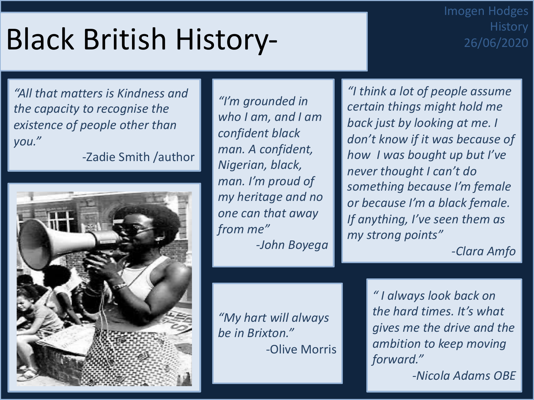# Black British History-

### Imogen Hodges **History** 26/06/2020

*"All that matters is Kindness and the capacity to recognise the existence of people other than you."*

-Zadie Smith /author



*"I'm grounded in who I am, and I am confident black man. A confident, Nigerian, black, man. I'm proud of my heritage and no one can that away from me" -John Boyega*

*"My hart will always be in Brixton."* -Olive Morris

*"I think a lot of people assume certain things might hold me back just by looking at me. I don't know if it was because of how I was bought up but I've never thought I can't do something because I'm female or because I'm a black female. If anything, I've seen them as my strong points"*

*-Clara Amfo*

*" I always look back on the hard times. It's what gives me the drive and the ambition to keep moving forward." -Nicola Adams OBE*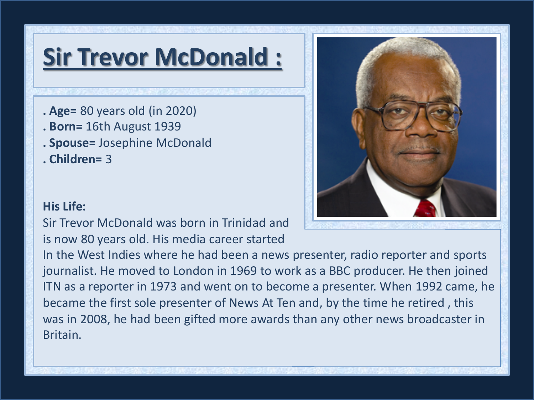## **Sir Trevor McDonald :**

- **. Age=** 80 years old (in 2020)
- **. Born=** 16th August 1939
- **. Spouse=** Josephine McDonald
- **. Children=** 3

#### **His Life:**

Sir Trevor McDonald was born in Trinidad and is now 80 years old. His media career started

In the West Indies where he had been a news presenter, radio reporter and sports journalist. He moved to London in 1969 to work as a BBC producer. He then joined ITN as a reporter in 1973 and went on to become a presenter. When 1992 came, he became the first sole presenter of News At Ten and, by the time he retired , this was in 2008, he had been gifted more awards than any other news broadcaster in Britain.